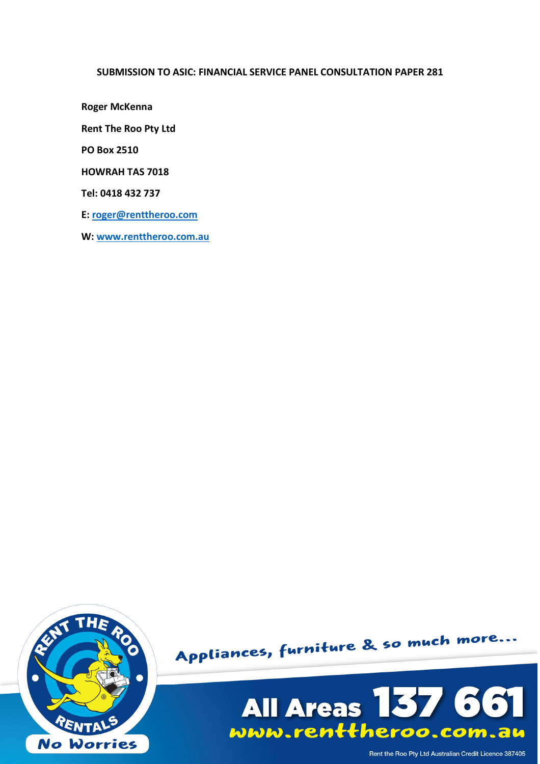### **SUBMISSION TO ASIC: FINANCIAL SERVICE PANEL CONSULTATION PAPER 281**

**Roger McKenna** 

**Rent The Roo Pty Ltd** 

**PO Box 2510** 

**HOWRAH TAS 7018** 

**Tel: 0418 432 737** 

**E: roger@renttheroo.com**

**W: www.renttheroo.com.au**



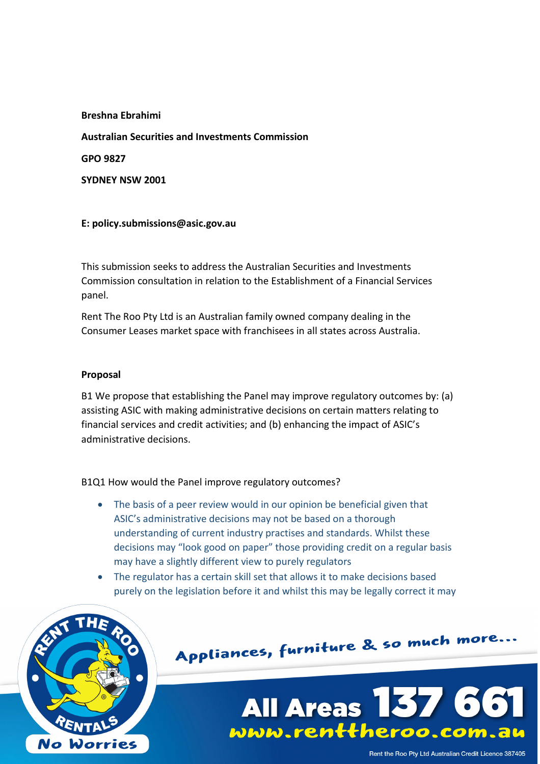**Breshna Ebrahimi Australian Securities and Investments Commission GPO 9827 SYDNEY NSW 2001** 

### **E: policy.submissions@asic.gov.au**

This submission seeks to address the Australian Securities and Investments Commission consultation in relation to the Establishment of a Financial Services panel.

Rent The Roo Pty Ltd is an Australian family owned company dealing in the Consumer Leases market space with franchisees in all states across Australia.

#### **Proposal**

B1 We propose that establishing the Panel may improve regulatory outcomes by: (a) assisting ASIC with making administrative decisions on certain matters relating to financial services and credit activities; and (b) enhancing the impact of ASIC's administrative decisions.

### B1Q1 How would the Panel improve regulatory outcomes?

- The basis of a peer review would in our opinion be beneficial given that ASIC's administrative decisions may not be based on a thorough understanding of current industry practises and standards. Whilst these decisions may "look good on paper" those providing credit on a regular basis may have a slightly different view to purely regulators
- The regulator has a certain skill set that allows it to make decisions based purely on the legislation before it and whilst this may be legally correct it may



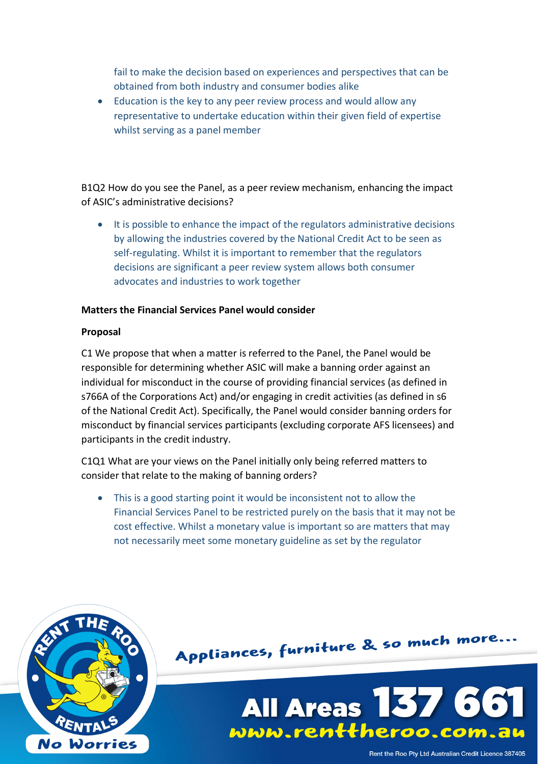fail to make the decision based on experiences and perspectives that can be obtained from both industry and consumer bodies alike

 Education is the key to any peer review process and would allow any representative to undertake education within their given field of expertise whilst serving as a panel member

B1Q2 How do you see the Panel, as a peer review mechanism, enhancing the impact of ASIC's administrative decisions?

• It is possible to enhance the impact of the regulators administrative decisions by allowing the industries covered by the National Credit Act to be seen as self-regulating. Whilst it is important to remember that the regulators decisions are significant a peer review system allows both consumer advocates and industries to work together

# **Matters the Financial Services Panel would consider**

# **Proposal**

C1 We propose that when a matter is referred to the Panel, the Panel would be responsible for determining whether ASIC will make a banning order against an individual for misconduct in the course of providing financial services (as defined in s766A of the Corporations Act) and/or engaging in credit activities (as defined in s6 of the National Credit Act). Specifically, the Panel would consider banning orders for misconduct by financial services participants (excluding corporate AFS licensees) and participants in the credit industry.

C1Q1 What are your views on the Panel initially only being referred matters to consider that relate to the making of banning orders?

 This is a good starting point it would be inconsistent not to allow the Financial Services Panel to be restricted purely on the basis that it may not be cost effective. Whilst a monetary value is important so are matters that may not necessarily meet some monetary guideline as set by the regulator



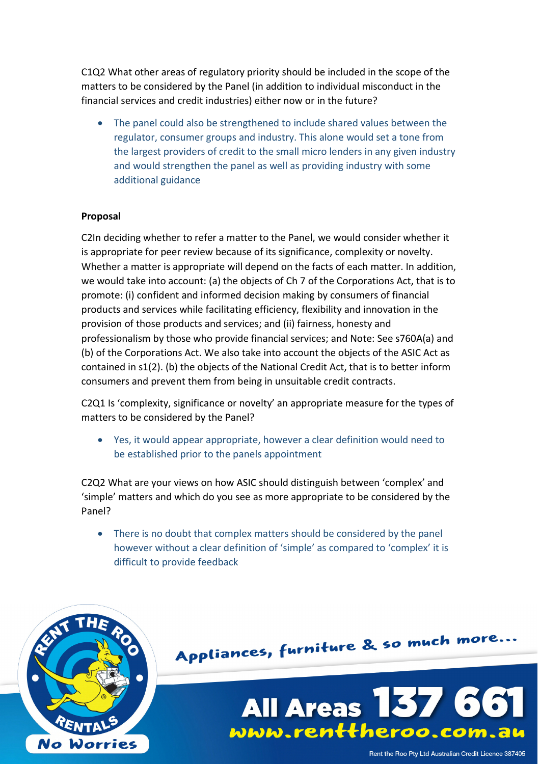C1Q2 What other areas of regulatory priority should be included in the scope of the matters to be considered by the Panel (in addition to individual misconduct in the financial services and credit industries) either now or in the future?

 The panel could also be strengthened to include shared values between the regulator, consumer groups and industry. This alone would set a tone from the largest providers of credit to the small micro lenders in any given industry and would strengthen the panel as well as providing industry with some additional guidance

# **Proposal**

C2In deciding whether to refer a matter to the Panel, we would consider whether it is appropriate for peer review because of its significance, complexity or novelty. Whether a matter is appropriate will depend on the facts of each matter. In addition, we would take into account: (a) the objects of Ch 7 of the Corporations Act, that is to promote: (i) confident and informed decision making by consumers of financial products and services while facilitating efficiency, flexibility and innovation in the provision of those products and services; and (ii) fairness, honesty and professionalism by those who provide financial services; and Note: See s760A(a) and (b) of the Corporations Act. We also take into account the objects of the ASIC Act as contained in s1(2). (b) the objects of the National Credit Act, that is to better inform consumers and prevent them from being in unsuitable credit contracts.

C2Q1 Is 'complexity, significance or novelty' an appropriate measure for the types of matters to be considered by the Panel?

 Yes, it would appear appropriate, however a clear definition would need to be established prior to the panels appointment

C2Q2 What are your views on how ASIC should distinguish between 'complex' and 'simple' matters and which do you see as more appropriate to be considered by the Panel?

• There is no doubt that complex matters should be considered by the panel however without a clear definition of 'simple' as compared to 'complex' it is difficult to provide feedback



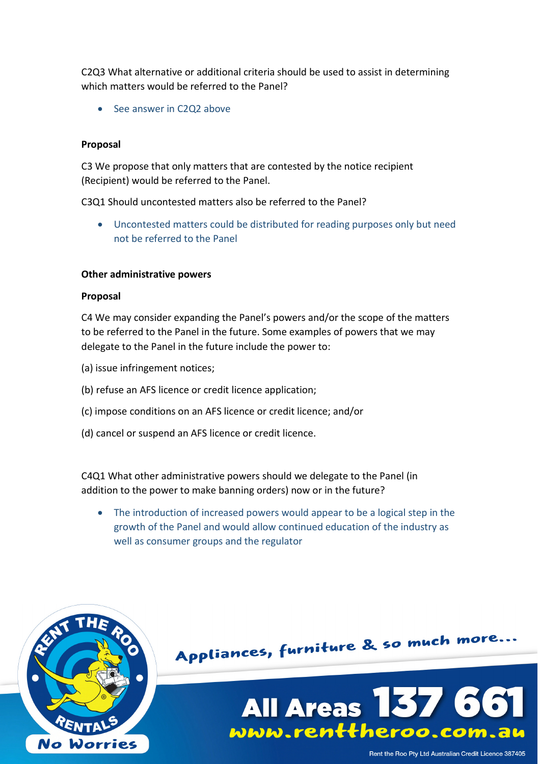C2Q3 What alternative or additional criteria should be used to assist in determining which matters would be referred to the Panel?

• See answer in C2Q2 above

### **Proposal**

C3 We propose that only matters that are contested by the notice recipient (Recipient) would be referred to the Panel.

C3Q1 Should uncontested matters also be referred to the Panel?

 Uncontested matters could be distributed for reading purposes only but need not be referred to the Panel

### **Other administrative powers**

### **Proposal**

C4 We may consider expanding the Panel's powers and/or the scope of the matters to be referred to the Panel in the future. Some examples of powers that we may delegate to the Panel in the future include the power to:

- (a) issue infringement notices;
- (b) refuse an AFS licence or credit licence application;
- (c) impose conditions on an AFS licence or credit licence; and/or
- (d) cancel or suspend an AFS licence or credit licence.

C4Q1 What other administrative powers should we delegate to the Panel (in addition to the power to make banning orders) now or in the future?

 The introduction of increased powers would appear to be a logical step in the growth of the Panel and would allow continued education of the industry as well as consumer groups and the regulator



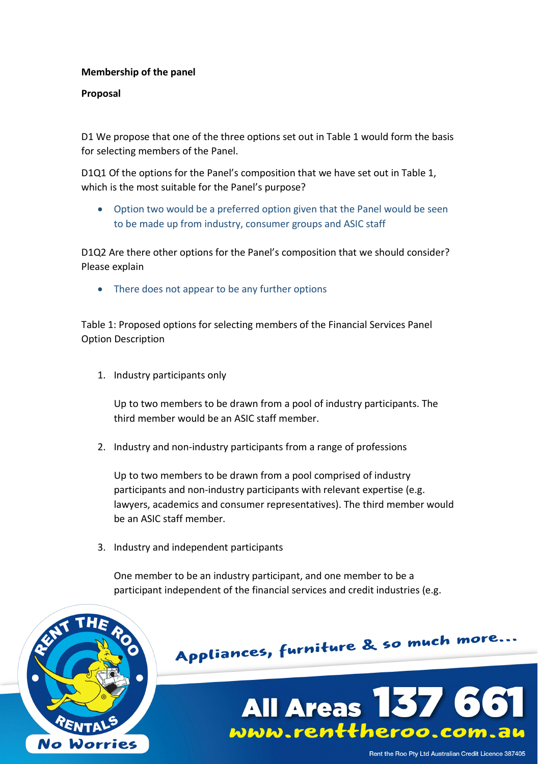# **Membership of the panel**

### **Proposal**

D1 We propose that one of the three options set out in Table 1 would form the basis for selecting members of the Panel.

D1Q1 Of the options for the Panel's composition that we have set out in Table 1, which is the most suitable for the Panel's purpose?

 Option two would be a preferred option given that the Panel would be seen to be made up from industry, consumer groups and ASIC staff

D1Q2 Are there other options for the Panel's composition that we should consider? Please explain

• There does not appear to be any further options

Table 1: Proposed options for selecting members of the Financial Services Panel Option Description

1. Industry participants only

Up to two members to be drawn from a pool of industry participants. The third member would be an ASIC staff member.

2. Industry and non-industry participants from a range of professions

Up to two members to be drawn from a pool comprised of industry participants and non-industry participants with relevant expertise (e.g. lawyers, academics and consumer representatives). The third member would be an ASIC staff member.

3. Industry and independent participants

One member to be an industry participant, and one member to be a participant independent of the financial services and credit industries (e.g.